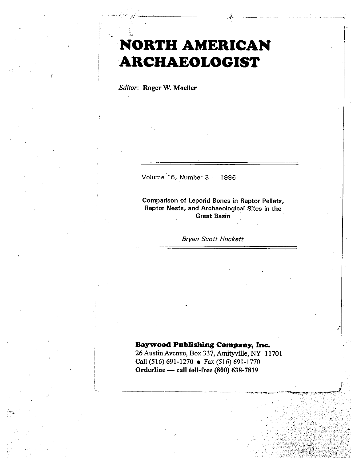# NORTH AMERICAN ARCHAEOLOGIST

 $\frac{1}{2}$ 

Editor: Roger W. Moeller

Volume 16, Number 3 — 1995

Comparison of Leporid Bones in Raptor Pellets, Raptor Nests, and Archaeological Sites in the **Great Basin** 

Bryan Scott Hackett

# Baywood Publishing Company, Inc.

26 Austin Avenue, Box 337, Amityville, NY 11701 Call (516) 691-1270 . Fax (516) 691-1770 Orderline — call toll-free (800) 638-7819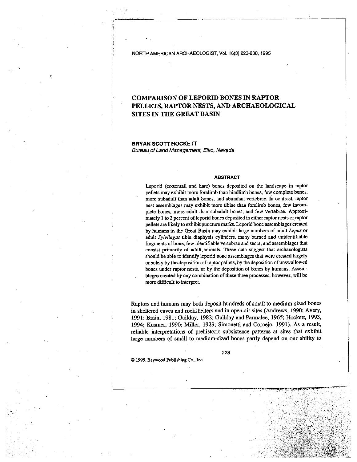NORTH AMERICAN ARCHAEOLOGIST, Vol. 16(3)223-238, 1995

# COMPARISON OF LEPORID BONES IN RAPTOR PELLETS, RAPTOR NESTS, AND ARCHAEOLOGICAL SITES IN THE GREAT BASIN

.-.-..—--——...—. j.

BRYAN SCOTT HOCKETT Bureau of Land Management, Elko, Nevada

#### ABSTRACT

Leporid (cottontail and hare) bones deposited on the landscape in raptor pellets may exhibit more forelimb than hindlimb bones, few complete bones, more subadult than adult bones, and abundant vertebrae. In contrast, raptor nest assemblages may exhibit more tibiae than forelimb bones, few incom plete bones, more adult than subadult bones, and few vertebrae. Approximately 1 to 2 percent of leporid bones deposited in either raptor nests or raptor pellets are likely to exhibit puncture marks. Leporid bone assemblages created by humans in the Great Basin may exhibit large numbers of adult Lepus or adult Sylvilagus tibia diaphysis cylinders, many burned and unidentifiable fragments of bone, few identifiable vertebrae and sacra, and assemblages that consist primarily of adult animals. These data suggest that archaeologists should be able to identify leporid bone assemblages that were created largely or solely by the deposition ofraptor pellets, by the deposition of unswallowed bones under raptor nests, or by the deposition of bones by humans. Assem bLages created by any combination of these three processes, however, will be more difficult to interpret.

Raptors and humans may both deposit hundreds of small to medium-sized bones in sheltered caves and rockshelters and in open-air sites (Andrews, 1990; Avery, 1991; Brain, 1981; Guilday, 1982; Guilday and Parmalee, 1965; liockett, 1993, 1994; Kusmer, 1990; Miller, 1929; Simonetti and Comejo, 1991). As a result, reliable interpretations of prehistoric subsistence patterns at sites that exhibit large numbers of small to medium-sized bones partly depend on our ability to

223

-

© 1995, Baywood Publishing Co., Inc.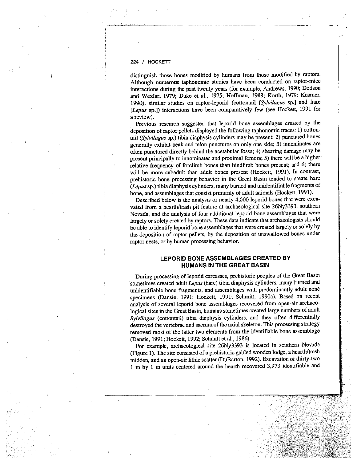distinguish those bones modified by humans from those modified by raptors. Although numerous taphonomic studies have been conducted on raptor-mice interactions during the pas<sup>t</sup> twenty years (for example, Andrews, 1990; Dodson and Wexlar, 1979; Duke et al., 1975; Hoffman, 1988; Korth, 1979; Kusmer, 1990), similar studies on raptor-leporid (cottontail [Sylvilagus sp.] and hare [Lepus sp.]) interactions have been comparatively few (see Hockett, <sup>1991</sup> for <sup>a</sup> review).

Previous research suggested that leporid bone assemblages created by the deposition of raptor pellets displayed the following taphonomic traces: 1) cotton tail (Sylvilagus sp.) tibia diaphysis cylinders may be present; 2) punctured bones generally exhibit beak and talon punctures on only one side; 3) innominates are often punctured directly behind the acetabular fossa; 4) shearing damage may be present principally to innominates and proximal femora; 5) there will be a higher relative frequency of forelimb bones than hindlimb bones present; and 6) there will be more subadult than adult bones presen<sup>t</sup> (Hockett, 1991). In contrast, prehistoric bone processing behavior in the Great Basin tended to create hare (Lepus sp.) tibia diaphysis cylinders, many burned and unidentifiable fragments of bone, and assemblages that consist primarily of adult animals (Hockett, 1991).

Described below is the analysis of nearly 4,000 leporid bones that were exca vated from <sup>a</sup> hearth/trash <sup>p</sup>it feature at archaeological site 26Ny3393, southern Nevada, and the analysis of four additional leporid bone assemblages that were largely or solely created by raptors. These data indicate that archaeologists should be able to identify leporid bone assemblages that were created largely or solely by the deposition of raptor pellets, by the deposition of unswallowed bones under raptor nests, or by human processing behavior.

# LEPORID BONE ASSEMBLAGES CREATED BY HUMANS IN THE GREAT BASIN

During processing of leporid carcasses, prehistoric peoples of the Great Basin sometimes created adult Lepus (hare) tibia diaphysis cylinders, many burned and unidentifiable bone fragments, and assemblages with predominantly adult bone specimens (Dansie, 1991; Hockett, 1991; Schmitt, 1990a). Based on recent analysis of several leporid bone assemblages recovered from open-air archaeo logical sites in the Great Basin, humans sometimes created large numbers of adult Sylvilagus (cottontail) tibia diaphysis cylinders, and they often differentially destroyed the vertebrae and sacrum of the axial skeleton. This processing strategy removed most of the latter two elements from the identifiable bone assemblage (Dansie, 1991; Hockett, 1992; Schmitt et al., 1986).

For example, archaeological site 26Ny3393 is located in southern Nevada (Figure 1). The site consisted of <sup>a</sup> prehistoric gabled wooden lodge, <sup>a</sup> hearth/trash midden, and an open-air lithic scatter (DuBarton, 1992). Excavation of thirty-two <sup>1</sup> <sup>m</sup> by <sup>1</sup> <sup>m</sup> units centered around the hearth recovered 3,973 identifiable and

--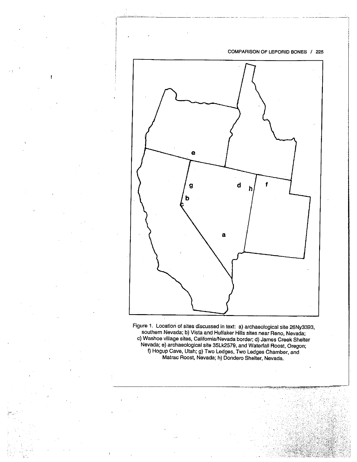

Figure 1. Location of sites discussed in text: a) archaeological site 26Ny3393, southern Nevada; b) Vista and Huffaker Hills sites near Reno, Nevada; c) Washee village sites, California/Nevada border; d) James Creek Shelter Nevada; e) archaeological site 35Lk2579, and Waterfall Roost, Oregon; f) Hogup Cave, Utah; g) Two Ledges, Two Ledges Charnber, and Matrac Roost, Nevada; h) Dondero Shelter, Nevada.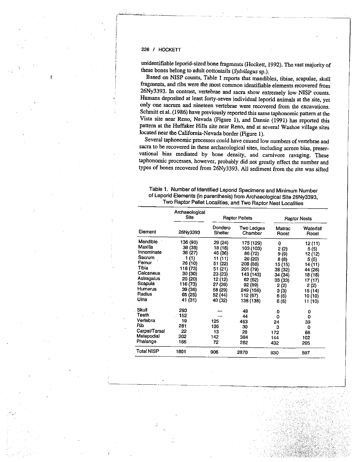unidentifiable leporid-sized bone fragments (Hockett, 1992). The vast majority of these bones belong to adult cottontails (Sylvilagus sp.).

Based on NISP counts, Table 1 reports that mandibles, tibiae, scapulae, skull fragments, and ribs were the most common identifiable elements recovered from 26Ny3393. In contrast, vertebrae and sacra show extremely low NISP counts. Humans deposited at least forty-seven individual leporid animals at the site, yet only one sacrum and nineteen vertebrae were recovered from the excavations. Schmitt et al. (1986) have previously reported this same taphonomic pattern at the Vista site near Reno, Nevada (Figure 1), and Dansie (1991) has reported this pattern at the Huffaker Hills site near Reno, and at several Washoe village sites located near the California-Nevada border (Figure 1).

Several taphonomic processes could have caused low numbers of vertebrae and sacra to be recovered in these archaeological sites, including screen bias, preser vational bias mediated by bone density, and carnivore ravaging. These taphonomic processes, however, probably did not greatly effect the number and types of bones recovered from 26Ny3393. All sediment from the site was sifted

| Table 1. Number of Identified Leporid Specimens and Minimum Number      |
|-------------------------------------------------------------------------|
| of Leporid Elements (in parenthesis) from Archaeological Site 26Ny3393, |
| Two Raptor Pellet Localities, and Two Raptor Nest Localities            |

| Element        | Archaeological<br>Site |                    | <b>Raptor Pellets</b>        | <b>Raptor Nests</b> |                    |
|----------------|------------------------|--------------------|------------------------------|---------------------|--------------------|
|                | 26Ny3393               | Dondero<br>Shelter | <b>Two Ledges</b><br>Chamber | Matrac<br>Roost     | Waterfall<br>Roost |
| Mandible       | 136 (90)               | 29 (24)            | 175 (129)                    | 0                   | 12 (11)            |
| Maxilla        | 38 (38)                | 18 (18)            | 103 (103)                    | 2(2)                | 5(5)               |
| Innominate     | 36 (27)                | 46 (36)            | 86 (72)                      | 9 (9)               | 12 (12)            |
| Sacrum         | 1 (1)                  | 11 (11)            | 20 (20)                      | 8(8)                | 5(5)               |
| Femur          | 26 (10)                | 51 (22)            | 209 (88)                     | 15 (15)             | 14 (11)            |
| Tibia          | 118 (73)               | 51 (21)            | 201 (79)                     | 38 (32)             | 44 (26)            |
| Calcaneus      | 30 (30)                | 23 (23)            | 143 (143)                    | 34 (34)             | 18 (18)            |
| Astragaius     | 20 (20)                | 12 (12)            | 62 (62)                      | 33(33)              | 17 (17)            |
| Scapula        | 116 (73)               | 27 (26)            | 92 (89)                      | 2(2)                | 2(2)               |
| <b>Humerus</b> | 39 (36)                | 58 (29)            | 249 (156)                    | 3(3)                | 15 (14)            |
| Radius         | 65 (25)                | 52 (44)            | 112 (67)                     | 6(6)                | 10 (10)            |
| Ulna           | 41 (31)                | 40 (32)            | 138 (138)                    | 6(6)                | 11 (10)            |
| Skull          | 293                    |                    | 49                           | 0                   | 0                  |
| Teeth          | 152                    |                    | 44                           | ٥                   | o                  |
| Vertebra       | 19                     | 125                | 463                          | 24                  | 39                 |
| Rib            | 281                    | 136                | 30                           | з                   | 0                  |
| Carpal/Tarsal  | 22                     | 13                 | 28                           | 172                 | 86                 |
| Metapodial     | 202                    | 142                | 384                          | 144                 | 102                |
| Phalange       | 166                    | 72                 | 282                          | 432                 | 205                |
| Total NISP     | 1801                   | 906                | 2870                         | 930                 | 597                |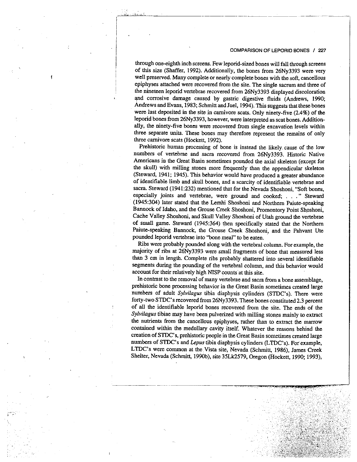through one-eighth inch screens. Few leporid-sized bones will fall through screens of this size (Shaffer, 1992). Additionally, the bones from 26Ny3393 were very well preserved. Many complete or nearly complete bones with the soft, cancellous epiphyses attached were recovered from the site. The single sacrum and three of the nineteen leporid vertebrae recovered from 26Ny3393 displayed discoloration and corrosive damage caused by gastric digestive fluids (Andrews, 1990; Andrews and Evans, 1983; Schmitt and Juel, 1994). This suggests that these bones were last deposited in the site in carnivore scats. Only ninety-five (2.4%) of the leporid bones from 26Ny3393, however, were interpreted as scat bones. Addition ally, the ninety-five bones were recovered from single excavation levels within three separate units. These bones may therefore represent the remains of only three carnivore scats (Hockett, 1992).

Prehistoric human processing of bone is instead the likely. cause of the low numbers of vertebrae and sacra recovered from 26Ny3393. Historic Native Americans in the Great Basin sometimes pounded the axial skeleton (except for the skull) with milling stones more frequently than the appendicular skeleton (Steward, 1941; 1945). This behavior would have produced <sup>a</sup> greater abundance of identifiable limb and skull bones, and <sup>a</sup> scarcity of identifiable vertebrae and sacra. Steward (1941:232) mentioned that for the Nevada Shoshoni, "Soft bones, especially joints and vertebrae, were ground and cooked;..." Steward (1945:304) later stated that the Lemhi Shoshoni and Northern Paiute-speaking Bannock of Idaho, and the Grouse Creek Shoshoni, Promontory Point Shpshoni, Cache Valley Shoshoni, and Skull Valley Shoshoni of Utah ground the vertebrae of small game. Steward (1945:364) then specifically stated that the Northern Paiute-speaking Bannock, the Grouse Creek Shoshoni, and the Pahvant Ute pounded leporid vertebrae into "bone meal" to be eaten.

Ribs were probably pounded along with the vertebral column. For example, the majority of ribs at 26Ny3393 were small fragments of bone that measured less than <sup>3</sup> cm in length. Complete ribs probably shattered into several identifiable segments during the pounding of the vertebral column, and this behavior would account for their relatively high NISP counts at this site.

In contrast to the removal of many vertebrae and sacra from <sup>a</sup> bone assemblage, prehistoric bone processing behavior in the Great Basin sometimes created large numbers of adult Sylvilagus tibia diaphysis cylinders (STDC's). There were forty-two STDC's recovered from 26Ny3393. These bones constituted 2.3 percent of all the identifiable leporid bones recovered from the site. The ends of the Sylvilagus tibiae may have been pulverized with milling stones mainly to extract the nutrients from the cancellous epiphyses, rather than to extract the marrow contained within the medullary cavity itself. Whatever the reasons behind the creation of STDC's, prehistoric people in the Great Basin sometimes created large numbers of STDC's and Lepus tibia diaphysis cylinders (LTDC's). For example, LTDC's were common at the Vista site, Nevada (Schmitt, 1986), James Creek Shelter, Nevada (Schmitt, 1990b), site 35Lk2579, Oregon (Hockett, 1990; 1993),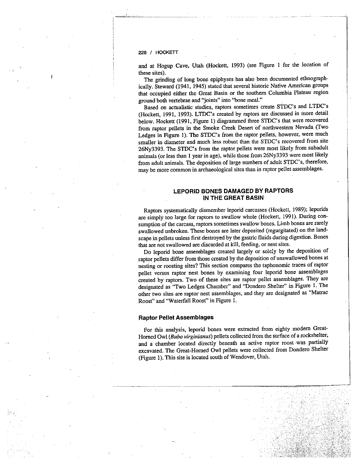#### 228 I HOGKETT

and at Hogup Cave. Utah (Hockett, 1993) (see Figure <sup>1</sup> for the location of these sites).

The grinding of long bone epiphyses has also been documented ethnograph ically. Steward (1941, 1945) stated that several historic Native American groups that occupied either the Great Basin or the southern Columbia Plateau region groun<sup>d</sup> both vertebrae and "joints' into "bone meal."

Based on actualistic studies, raptors sometimes create STDC's and LTDC's (Hockett, 1991, 1993). LTDC's created by raptors are discussed in more detail below. Hockett (1991, Figure 1) diagrammed three STDC's that were recovered from raptor pellets in the Smoke Creek Desert of northwestern Nevada (Two Ledges in Figure 1). The STDC's from the raptor pellets, however, were much smaller in diameter and much less robust than the STDC's recovered from site 26Ny3393. The STDC's from the raptor pellets were most likely from subadult animals (or less than <sup>1</sup> year in age), while those from 26Ny3393 were most likely from adult animals. The deposition of large numbers of adult STDC's, therefore, may be more common in archaeological sites than in raptor pellet assemblages.

# LEPORID BONES DAMAGED BY RAPTORS IN THE GREAT BASIN

Raptors systematically dismember leporid carcasses (Hackett, 1989); leporids are simply too large for raptors to swallow whole (Hockett, 1991). During consumption of the carcass, raptors sometimes swallow bones. Limb bones are rarely swallowed unbroken. These bones are later deposited (regurgitated) on the land scape in pellets unless first destroyed by the gastric fluids during digestion. Bones that are not swallowed are discarded at kill, feeding, or nest sites.

Do leporid bone assemblages created largely or solely by the deposition of raptor pellets differ from those created by the deposition of unswallowed bones at nesting or roosting sites? This section compares the taphonomic traces of raptor pellet versus raptor nest bones by examining four leporid bone assemblages created by raptors. Two of these sites are raptor pellet assemblages. They are designated as "Two Ledges Chamber" and "Dondero Shelter" in Figure 1. The other two sites are raptor nest assemblages, and they are designated as "Matrac Roost" and "Waterfall Roost" in Figure 1.

#### Raptor Pellet Assemblages

For this analysis, leporid bones were extracted from eighty modern Great-Horned Owl (Bubo virginianus) pellets collected from the surface of <sup>a</sup> rockshelter, and <sup>a</sup> chamber located directly beneath an active raptor roost was partially excavated. The Great-Horned Owl pellets were collected from Dondero Shelter (Figure 1). This site is located south of Wendover, Utah.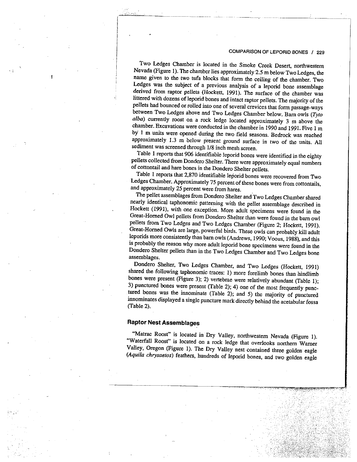Two Ledges Chamber is located in the Smoke Creek Desert, northwestern Nevada (Figure 1). The chamber lies approximately 2.5 <sup>m</sup> below Two Ledges, the name <sup>g</sup>iven to the two tufa blocks that form the ceiling of the chamber. Two Ledges was the subject of <sup>a</sup> previous analysis of <sup>a</sup> leporid bone assemblage derived from raptor pellets (Hockett, 1991). The surface of the chamber was littered with dozens of leporid bones and intact raptor pellets. The majority of the pellets had bounced or rolled into one of several crevices that form passage-ways between Two Ledges above and Two Ledges Chamber below. Barn owls (Tyto alba) currently roost on <sup>a</sup> rock ledge located approximately <sup>3</sup> <sup>m</sup> above the chamber. Excavations were conducted in thç chamber in <sup>1990</sup> and 1991. Five <sup>1</sup> <sup>m</sup> by <sup>1</sup> <sup>m</sup> units were opened during the two field seasons. Bedrock was reached approximately 1.3 <sup>m</sup> below present ground surface in two of the units. All sediment was screened through 1/8 inch mesh screen.

.. \_....\_..\_..\_\_\_...\_\_\_..\_\_\_\_\_ ...

Table <sup>I</sup> reports that <sup>906</sup> identifiable leporid bones were identified in the eighty pellets collected from Dondero Shelter. There were approximately equal numbers of cottontail and hare bones in the Dondero Shelter pellets.

Table <sup>1</sup> reports that 2,870 identifiable leporid bones were recovered from Two Ledges Chamber. Approximately <sup>75</sup> percent of these bones were from cottontails, and approximately <sup>25</sup> percent were from hares.

The pellet assemblages from Dondero Shelter and Two Ledges Chamber shared nearly identical taphonomic patterning with the pellet assemblage described in Hockett (1991), with one exception. More adult specimens were found in the Great-Homed Owl pellets from Dondero Shelter than were found in the barn owl pellets from Two Ledges and Two Ledges Chamber (Figure 2; Hockett, 1991). Great-Homed Owls are large, powerful birds. These owls can probably kill adult leporids more consistently than barn owls (Andrews, 1990; Voous, 1988), and this is probably the reason why more adult leporid bone specimens were found in the Dondero Shelter pellets than in the Two Ledges Chamber and Two Ledges bone assemblages.

Dondero Shelter, Two Ledges Chamber, and Two Ledges (Hockett, 1991) shared the following taphonomic traces: 1) more forelimb bones than hindlimb bones were present (Figure 3); 2) vertebrae were relatively abundant (Table 1); 3) punctured bones were present (Table 2); 4) one of the most frequently punc tured bones was the innominate (Table 2); and 5) the majority of punctured innominates displayed <sup>a</sup> single puncture mark directly behind the acetabular fossa (Table 2).

# Raptor Nest Assemblages

"Matrac Roost" is located in Dry Valley, northwestern Nevada (Figure 1). "Waterfall Roost" is located on <sup>a</sup> rock ledge that overlooks northern Wamer Valley, Oregon (Figure 1). The Dry Valley nest contained three golden eagle (Aquila chrysaetos) feathers, hundreds of leporid bones, and two golden eagle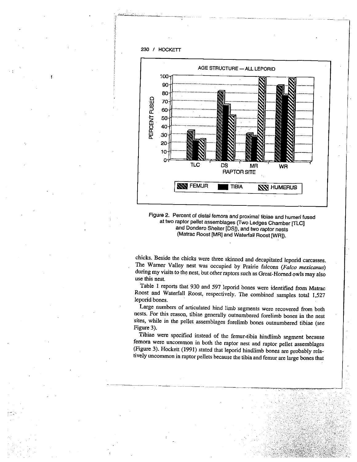

Figure 2. Percent of distal femora and proximal tibiae and humeri fused at two raptor pellet assemblages (Two Ledges Chamber [rLC3 and Dondero Shelter [DS]), and two raptor nests (Matrac Roost [MR] and Waterfall Roost [WR]).

chicks. Beside the chicks were three skinned and decapitated leporid carcasses. The Warner Valley nest was occupied by Prairie falcons (Falco mexicanus) during my visits to the nest, but other raptors such as Great-Homed owls may also use this nest.

Table <sup>1</sup> reports that <sup>930</sup> and <sup>597</sup> leporid bones were identified from Matrac Roost and Waterfall Roost, respectively. The combined samples total 1,527 leporid bones.

Large numbers of articulated hind limb segments were recovered from both nests. For this reason, tibiae generally outnumbered forelimb bones in the nest sites, while in the pellet assemblages forelimb bones outnumbered tibiae (see Figure 3).

Tibiae were specified instead of the femur-tibia hindlimb segment because femora were uncommon in both the captor nest and captor pellet assemblages (Figure 3). Hockett (1991) stated that leporid hindlimb bones are probably rela tively uncommon in raptor pellets because the tibia and femur are large bones that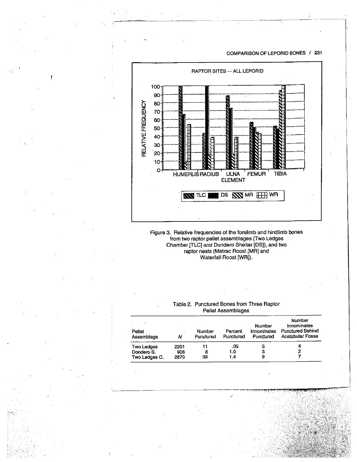

Figure 3. Relative frequencies of the forelimb and hindlimb bones from two raptor pellet assemblages (Two Ledges Chamber [TLCJ and Dondero Shelter [DS]), and two raptor nests (Matrac Roost [MR] and Waterfall Roost [WR]).

# Table 2. Punctured Bones from Three Raptor Pellet Assemblages

| Pellet<br>Assemblage | Ν    | Number<br>Punctured | Percent<br>Punctured | Number<br>Innominates<br>Punctured | Number<br>Innominates<br><b>Punctured Behind</b><br>Acetabular Fossa |
|----------------------|------|---------------------|----------------------|------------------------------------|----------------------------------------------------------------------|
| <b>Two Ledges</b>    | 2201 | 11                  | .05                  | 5                                  |                                                                      |
| Dondero S.           | 906  | 8                   | 1.0                  | з                                  | 2                                                                    |
| Two Ledges C.        | 2870 | 39                  | 1.4 <sub>1</sub>     | 9                                  |                                                                      |

H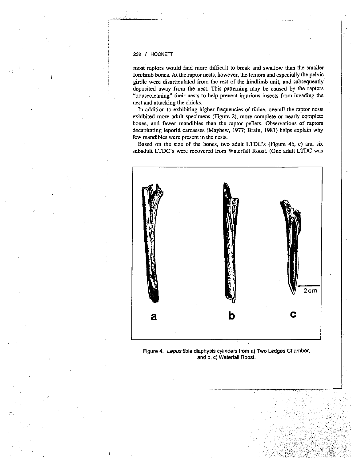most raptors would find more difficult to break and swallow than the smaller forelimb bones. At the raptor nests, however, the femora and especially the pelvic girdle were disarticulated from the rest of the hindlimb unit, and subsequently deposited away from the nest. This patterning may be caused by the raptors "housecleaning" their nests to help prevent injurious insects from invading the nest and attacking the chicks.

In addition to exhibiting higher frequencies of tibiae, overall the raptor nests exhibited more adult specimens (Figure 2), more complete or nearly complete bones, and fewer mandibles than the raptor pellets. Observations of raptors decapitating leporid carcasses (Mayhew, 1977; Brain, 1981) helps explain why few mandibles were present in the nests.

Based on the size of the bones, two adult LTDC's (Figure 4b, c) and six subadult LTDC's were recovered from Waterfall Roost. (One adult LTDC was



Figure 4. Lepus tibia diaphysis cylinders from a) Two Ledges Chamber, and b, c) Waterfall Roost.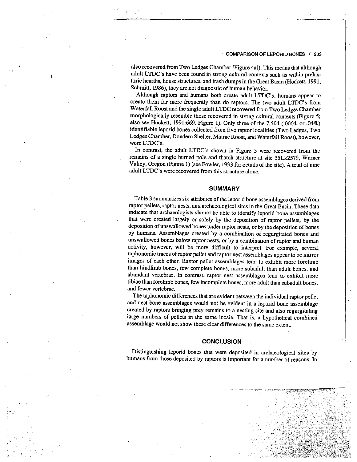also recovered from Two Ledges Chamber [Figure 4a]). This means that although adult LTDC's have been found in strong cultural contexts such as within prehis toric hearths, house structures, and trash dumps in the Great Basin (Hockett, 1991; Schmitt, 1986), they are not diagnostic of human behavior.

Although raptors and humans both create adult LTDC's, humans appear to create them far more frequently than do raptors. The two adult LTDC's from Waterfall Roost and the single adult LTDC recovered from Two Ledges Chamber morphologically resemble those recovered in strong cultural contexts (Figure 5; also see Hockett, 1991:669, Figure 1). Only three of the 7,504 (.0004, or .04%) identifiable leporid bones collected from five raptor localities (Two Ledges, Two Ledges Chamber, Dondero Shelter, Matrac Roost, and Waterfall Roost), however, were LTDC's.

In contrast, the adult LTDC's shown in Figure <sup>5</sup> were recovered from the remains of <sup>a</sup> single burned pole and thatch structure at site 35Lk2579, Warner Valley, Oregon (Figure 1) (see Fowler, <sup>1993</sup> for details of the site). <sup>A</sup> total of nine adult LTDC's were recovered from this structure alone.

#### SUMMARY

Table <sup>3</sup> summarizes six attributes of the leporid bone assemblages derived from raptor pellets, raptor nests, and archaeological sites in the Great Basin. These data indicate that archaeologists should be able to identify leporid bone assemblages that were created largely or solely by the deposition of raptor pellets. by the deposition of unswallowed bones under raptor nests, or by the deposition of bones by humans. Assemblages created by <sup>a</sup> combination of regurgitated bones and unswallowed bones below raptor nests, or by <sup>a</sup> combination of raptor and human activity, however, will be more difficult to interpret. For example, several taphonomic traces of raptor pellet and raptor nest assemblages appear to be mirror images of each other. Raptor pellet assemblages tend to exhibit more forelimb than hindlimb bones, few complete bones, more subadult than adult bones, and abundant vertebrae. In contrast, raptor nest assemblages tend to exhibit more tibiae than forelimb bones, few incomplete bones, more adult than subadult bones, and fewer vertebrae.

The taphonomic differences that are evident between the individual raptor pellet and nest bone assemblages would not be evident in <sup>a</sup> leporid bone assemblage created by raptors bringing prey remains to <sup>a</sup> nesting site and also regurgitating large numbers of pellets in the same locale. That is, <sup>a</sup> hypothetical combined assemblage would not show these clear differences to the same extent.

## **CONCLUSION**

Distinguishing leporid bones that were deposited in archaeological sites by humans from those deposited by raptors is important for <sup>a</sup> number of reasons. In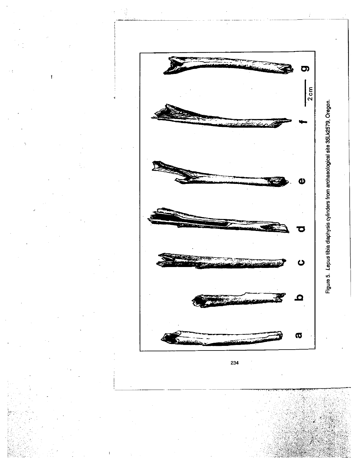

Figure 5. Lepus tibia diaphysis cylinders from archaeological site 35Lk2579, Oregon.

Figure 5. Lepus tibia diaphysis cylinders from archaeological site 35Lk2579, Oregon.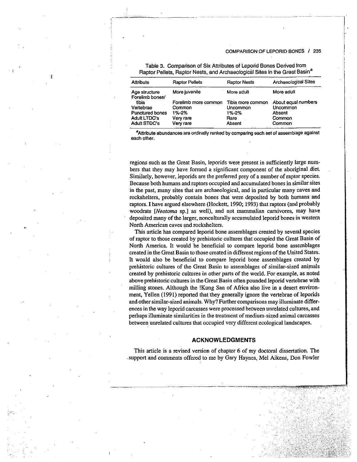| Attribute                        | <b>Raptor Pellets</b> | <b>Raptor Nests</b> | <b>Archaeological Sites</b> |
|----------------------------------|-----------------------|---------------------|-----------------------------|
| Age structure<br>Forelimb bones/ | More juvenile         | More adult          | More adult                  |
| tibia                            | Forelimb more common  | Tibia more common   | About equal numbers         |
| Vertebrae                        | Common                | Uncommon            | Uncommon                    |
| Punctured bones                  | 1%-2%                 | 1%-2%               | Absent                      |
| <b>Adult LTDC's</b>              | Very rare             | Rare                | Common                      |
| <b>Adult STDC's</b>              | Very rare             | Absent              | Common                      |

Table 3. Comparison of Six Attributes of Leporid Bones Derived from Raptor Pellets, Raptor Nests, and Archaeological Sites in the Great Basin<sup>a</sup>

—-

8Attribute abundances are ordinally ranked by comparing each set of assemblage against each other.

regions such as the Great Basin, leporids were present in sufficiently large num bers that they may have formed a significant component of the aboriginal diet. Similarly, however, leporids are the preferred prey of a number of raptor species. Because both humans and raptors occupied and accumulated bones in similar sites in the past, many sites that are archaeological, and in particular many caves and rockshelters, probably contain bones that were deposited by both humans and raptors. I have argued elsewhere (Hockett, 1990; 1993) that raptors (and probably woodrats [Neotoma sp.] as well), and not mammalian carnivores, may have deposited many of the larger, nonculturally accumulated leporid bones in western North American caves and rockshelters.

This article has compared leporid bone assemblages created by several species of raptor to those created by prehistoric cultures that occupied the Great Basin of North America. It would be beneficial to compare leporid bone assemblages created in the Great Basin to those created indifferent regions of the United States. It would also be beneficial to compare leporid bone assemblages created by prehistoric cultures of the Great Basin to assemblages of similar-sized animals created by prehistoric cultures in other parts of the world. For example, as noted above prehistoric cultures in the Great Basin often pounded leporid vertebrae with milling stones. Although the !Kung San of Africa also live in a desert environ ment, Yellen (1991) reported that they generally ignore the vertebrae of leporids and other similar-sized animals. Why? Further comparisons may illuminate differ ences in the way leporid carcasses were processed between unrelated cultures, and perhaps illuminate similarities in the treatment of medium-sized animal carcasses between unrelated cultures that occupied very different ecological landscapes.

# ACKNOWLEDGMENTS

This article is a revised version of chapter 6 of my doctoral dissertation. The support and comments offered to me by Gary Haynes, Mel Aikens, Don Fowler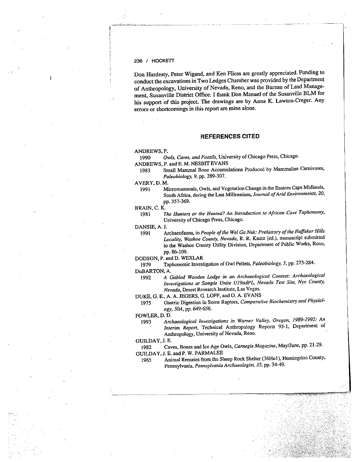## 236 I HOCKETT

Don Hardesty, Peter Wigand. and Ken Fliess are greatly appreciated. Funding to conduct the excavations in Two Ledges Chamber was provided by the Department of Anthropology, University of Nevada, Reno, and the Bureau of Land Manage ment, Susanville District Office. <sup>I</sup> thank Don Manuel of the Susanvilte BLM for his suppor<sup>t</sup> of this project. The drawings are by Anna K. Lawton-Creger. Any errors or shortcomings in this repor<sup>t</sup> are mine alone.

# REFERENCES CITED.

#### ANDREWS, P.

- 1990 Owls, Caves, and Fossils, University of Chicago Press, Chicago. ANDREWS, P. and E. M. NESBIT EVANS
	- <sup>1983</sup> Small Mammal Bone Accumulations Produced by Mammalian Carnivores, Paleobiology, 9, pp. 289-307.

AVERY, D. M.

1991 Micromammals, Owls, and Vegetation Change in the Eastern Cape Midlands, South Africa, during the Last Millennium, Journal of Arid Environments, 20, pp. 357-369.

#### BRAN, C. K.

<sup>1981</sup> The Hunters or the Hunted? An introduction to African Cave Taphonomy, University of Chicago Press, Chicago.

DANSIE, A. J.

1991 Archaeofauna, in People of the Wel Ga Nuk: Prehistory of the Huffaker Hills Locality, Washoe County, Nevada, R. R. Kautz (ed.), manuscript submitted to the Washoe County Utility Division, Department of Public Works, Reno, pp. 86-109.

# 000SON, P. and D. WEXLAR

<sup>1979</sup> Taphonomic Investigation of Owl Pellets, Paleobiology, 5, pp. 275-284.

DuBARTON, A.

- <sup>1992</sup> <sup>A</sup> Gabled Wooden Lodge in an Archaeological Context: Archaeological Investigations at Sample Unite U19adPL, Nevada Test Site, Nye County, Nevada, Desert Research Institute, Las Vegas.
- DUKE, 0. E., A. A. JEGERS, G. LOFF, and 0. A. EVANS
- 1975 Gastric Digestion in Some Raptors, Comparative Biochemistry and Physiology, 50A, pp. 649-656.
- FOWLER, D. D.
- <sup>1993</sup> Archaeological investigations in Warner Valley, Oregon, 1989-1992: An Interim Report, Technical Anthropology Reports 93-1, Department of Anthropology, University of Nevada, Reno.

#### GUILDAY, J. E.

<sup>1982</sup> Caves, Bones and Ice Age Owls, Carnegie Magazine, May/June, pp. 21-29.

# GUILDAY, J. E. and P. W. PARMALEE

1965 Animal Remains from the Sheep Rock Shelter (36Hu1), Huntingdon County, Pennsylvania, Pennsylvania Archaeologist, 35, pp. 34-49.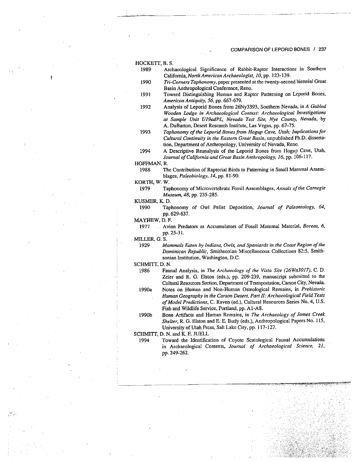#### HOCKETr, B. S.

- 1989 Archaeological Significance of Rabbit-Raptor Interactions in Southern California, North American Archaeologist, 10, pp. 123-139.
- 1990 Tri-Corners Taphonomy, paper presented at the twenty-second biennial Great Basin Anthropological Conference, Reno.
- 1991 Toward Distinguishing Human and Raptor Patterning on Leporid Bones, American Antiquity, 56, pp. 667-679.
- 1992 Analysis of Leporid Bones from 26Ny3393, Southern Nevada, in <sup>A</sup> Gabled Wooden Lodge in Archaeological Context: Archaeological Investigations at Sample Unit U19adPL, Nevada Test Site, Nye County, Nevada, by A. DuBarton, Desert Research Institute, Las Vegas, pp. 67-75.
- 1993 Taphonomy of the Leporid Bones from Hogup Cave, Utah: Implications for Cultural Continuity in the Eastern Great Basin, unpublished Ph.D. dissertation, Department of Anthropology, University of Nevada, Reno.
- 1994 A Descriptive Reanalysis of the Leporid Bones from Hogup Cave, Utah, Journal of California and Great Basin Anthropology, 16, pp. 106-117.

HOFFMAN, R.

1988 The Contribution of Raptorial Birds to Patterning in Small Mammal Assem blages, Paleobiology, 14, pp. 81-90.

KORTH, W. W.

1979 Taphonomy of Microvertebrate Fossil Assemblages, Annals of the Carnegie Museum, 48, pp. 235-285.

KUSMER, K. D.

1990 Taphonomy of Owl Pellet Deposition, Journal of Paleontology, 64, pp. 629-637.

MAYHEW, D. F.

1977 Avian Predators as Accumulators of Fossil Mammal Material, Boreas, 6, pp. 25-31.

MILLER, G. S.

1929 Mammals Eaten by Indians, Owls, and Spaniards in the Coast Region of the Dominican Republic, Smithsonian Miscellaneous Collections 82:5, Smith sonian Institution, Washington, D.C. ILLER, G. S.<br>
1929 *Mammals Eaten by Indians, Owls, and Spaniards in the Coast Region of the<br>
Dominican Republic, Smithsonian Miscellaneous Collections 82:5, Smithsonian Institution, Washington, D.C.<br>
2. FHMITT, D. N.*<br>
19

#### SCHMITT, D. N.

- Cultural Resources Section, Department of Transportation, Carson City, Nevada.
- 1990a Notes on Human and Non-Human Osteological Remains, in Prehistoric Human Geography in the Carson Desert, Part II: Archaeological Field Tests of Model Predictions, C. Raven (ed.), Cultural Resources Series No. 4, U.S. Fish and Wildlife Service, Portland, pp. Al-AS.
- 1990b Bone Artifacts and Human Remains, in The Archaeology of James Creek Shelter, R. 0. Elston and E. E. Budy (eds.), Anthropological Papers No. 115, University of Utah Press, Salt Lake City. pp. 117-127.

SCHMITT, D. N. and K. E. JUELL

1994 Toward the Identification of Coyote Scatological Faunal Accumulations in Archaeological Contexts, Journal of Archaeological Science, 21, pp. 249-262.